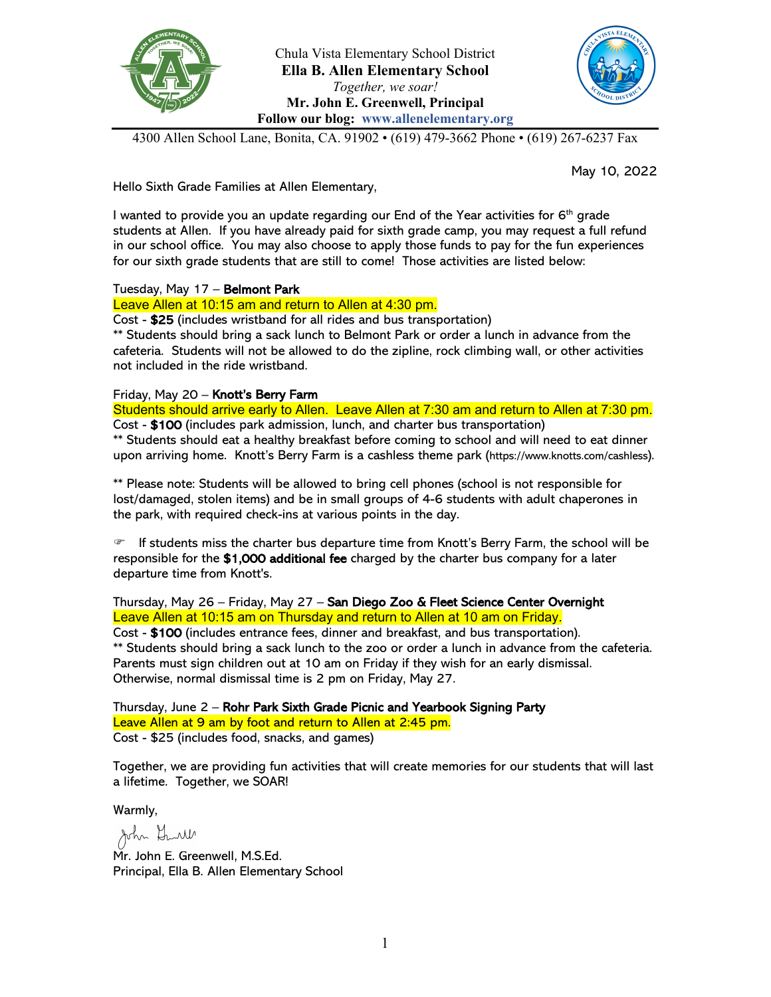



4300 Allen School Lane, Bonita, CA. 91902 • (619) 479-3662 Phone • (619) 267-6237 Fax

May 10, 2022

Hello Sixth Grade Families at Allen Elementary,

I wanted to provide you an update regarding our End of the Year activities for  $6<sup>th</sup>$  grade students at Allen. If you have already paid for sixth grade camp, you may request a full refund in our school office. You may also choose to apply those funds to pay for the fun experiences for our sixth grade students that are still to come! Those activities are listed below:

## Tuesday, May 17 – Belmont Park

Leave Allen at 10:15 am and return to Allen at 4:30 pm.

Cost - \$25 (includes wristband for all rides and bus transportation) \*\* Students should bring a sack lunch to Belmont Park or order a lunch in advance from the

cafeteria. Students will not be allowed to do the zipline, rock climbing wall, or other activities not included in the ride wristband.

## Friday, May 20 - Knott's Berry Farm

Students should arrive early to Allen. Leave Allen at 7:30 am and return to Allen at 7:30 pm. Cost - \$100 (includes park admission, lunch, and charter bus transportation) \*\* Students should eat a healthy breakfast before coming to school and will need to eat dinner upon arriving home. Knott's Berry Farm is a cashless theme park (https://www.knotts.com/cashless).

\*\* Please note: Students will be allowed to bring cell phones (school is not responsible for lost/damaged, stolen items) and be in small groups of 4-6 students with adult chaperones in the park, with required check-ins at various points in the day.

 $\mathcal F$  If students miss the charter bus departure time from Knott's Berry Farm, the school will be responsible for the \$1,000 additional fee charged by the charter bus company for a later departure time from Knott's.

Thursday, May 26 – Friday, May 27 – San Diego Zoo & Fleet Science Center Overnight Leave Allen at 10:15 am on Thursday and return to Allen at 10 am on Friday. Cost - \$100 (includes entrance fees, dinner and breakfast, and bus transportation). \*\* Students should bring a sack lunch to the zoo or order a lunch in advance from the cafeteria. Parents must sign children out at 10 am on Friday if they wish for an early dismissal. Otherwise, normal dismissal time is 2 pm on Friday, May 27.

Thursday, June 2 – Rohr Park Sixth Grade Picnic and Yearbook Signing Party Leave Allen at 9 am by foot and return to Allen at 2:45 pm. Cost - \$25 (includes food, snacks, and games)

Together, we are providing fun activities that will create memories for our students that will last a lifetime. Together, we SOAR!

Warmly,

John Grull

Mr. John E. Greenwell, M.S.Ed. Principal, Ella B. Allen Elementary School